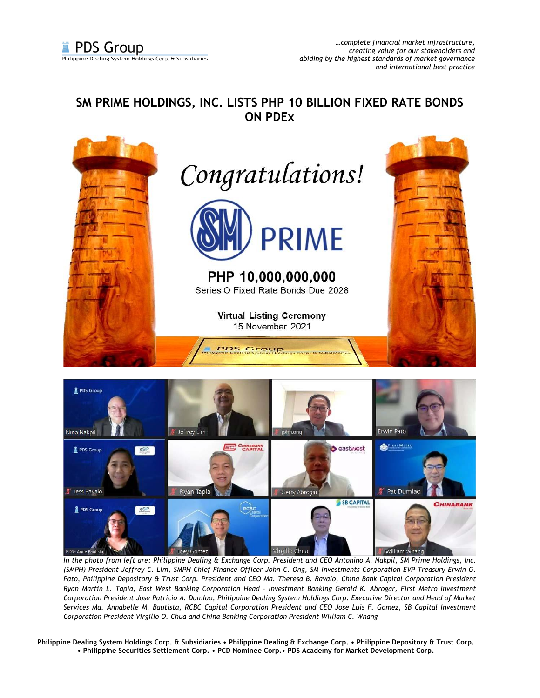## **SM PRIME HOLDINGS, INC. LISTS PHP 10 BILLION FIXED RATE BONDS ON PDEx**





*In the photo from left are: Philippine Dealing & Exchange Corp. President and CEO Antonino A. Nakpil, SM Prime Holdings, Inc. (SMPH) President Jeffrey C. Lim, SMPH Chief Finance Officer John C. Ong, SM Investments Corporation EVP-Treasury Erwin G. Pato, Philippine Depository & Trust Corp. President and CEO Ma. Theresa B. Ravalo, China Bank Capital Corporation President Ryan Martin L. Tapia, East West Banking Corporation Head - Investment Banking Gerald K. Abrogar, First Metro Investment Corporation President Jose Patricio A. Dumlao, Philippine Dealing System Holdings Corp. Executive Director and Head of Market Services Ma. Annabelle M. Bautista, RCBC Capital Corporation President and CEO Jose Luis F. Gomez, SB Capital Investment Corporation President Virgilio O. Chua and China Banking Corporation President William C. Whang* 

**Philippine Dealing System Holdings Corp. & Subsidiaries • Philippine Dealing & Exchange Corp. • Philippine Depository & Trust Corp. • Philippine Securities Settlement Corp. • PCD Nominee Corp.• PDS Academy for Market Development Corp.**